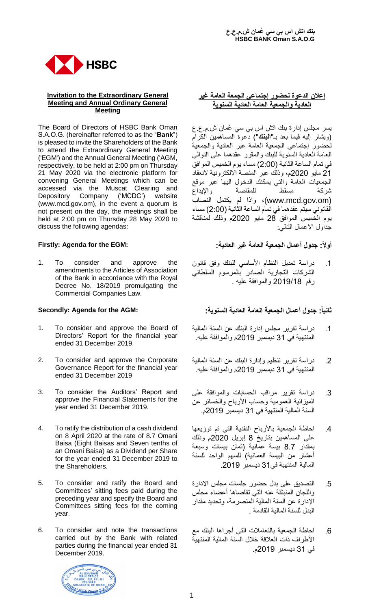

### **Invitation to the Extraordinary General Meeting and Annual Ordinary General Meeting**

The Board of Directors of HSBC Bank Oman S.A.O.G. (hereinafter referred to as the "**Bank**") is pleased to invite the Shareholders of the Bank to attend the Extraordinary General Meeting ('EGM') and the Annual General Meeting ('AGM, respectively, to be held at 2:00 pm on Thursday 21 May 2020 via the electronic platform for convening General Meetings which can be accessed via the Muscat Clearing and Depository Company ('MCDC') website (www.mcd.gov.om), in the event a quorum is not present on the day, the meetings shall be held at 2:00 pm on Thursday 28 May 2020 to discuss the following agendas:

1. To consider and approve the amendments to the Articles of Association of the Bank in accordance with the Royal Decree No. 18/2019 promulgating the Commercial Companies Law.

- 1. To consider and approve the Board of Directors' Report for the financial year ended 31 December 2019.
- 2. To consider and approve the Corporate Governance Report for the financial year ended 31 December 2019
- 3. To consider the Auditors' Report and approve the Financial Statements for the year ended 31 December 2019.
- 4. To ratify the distribution of a cash dividend on 8 April 2020 at the rate of 8.7 Omani Baisa (Eight Baisas and Seven tenths of an Omani Baisa) as a Dividend per Share for the year ended 31 December 2019 to the Shareholders.
- 5. To consider and ratify the Board and Committees' sitting fees paid during the preceding year and specify the Board and Committees sitting fees for the coming year.
- 6. To consider and note the transactions carried out by the Bank with related parties during the financial year ended 31 December 2019.

## **إعالن الدعوة لحضور إجتماعي الجمعة العامة غير العادية والجمعية العامة العادية السنوية**

يسر مجلس إدارة بنك اتش اس بي سي ُعمان ش.م.ع.ع )ويشار إليه فيما بعد بـ"**البنك**"( دعوة المساهمين الكرام لحضور إجتماعي الجمعية العامة غير العادية والجمعية العامة العادية السنوية للبنك والمقرر عقدهما على التوالي في تمام الساعة الثانية )2:00( مساء يوم الخميس الموافق 21 مايو 2020م، وذلك عبر المنصة االلكترونية النعقاد الجمعيات العامة والتي يمكنك الدخول اليها عبر موقع شركة مسقط للمقاصة واإليداع (om.gov.mcd.www(، واذا لم يكتمل النصاب القانوني سيتم عقدهما في تمام الساعة الثانية )2:00( مساء يوم الخميس الموافق 28 مايو 2020م وذلك لمناقشة جداول االعمال التالي:

# **أوال:ً جدول أعمال الجمعية العامة غير العادية: :EGM the for Agenda :Firstly**

.1 دراسة تعديل النظام األساسي للبنك وفق قانون الشركات التجارية الصادر بالمرسوم السلطاني رقم 2019/18 والموافقة عليه .

# **ثانيا:ً جدول أعمال الجمعية العامة العادية السنوية: :AGM the for Agenda :Secondly**

- .1 دراسة تقرير مجلس إدارة البنك عن السنة المالية المنتهية في 31 ديسمبر 2019م والموافقة عليه.
- .2 دراسة تقرير تنظيم وإدارة البنك عن السنة المالية المنتهية في 31 ديسمبر 2019م والموافقة عليه.
- .3 دراسة تقرير مراقب الحسابات والموافقة على الميزانية العمومية وحساب الأرباح والخسائر عن السنة المالية المنتهية في 31 ديسمبر 2019م.
- .4 احاطة الجمعية باألرباح النقدية التي تم توزيعها على المساهمين بتاريخ 8 إبريل 2020م وذلك بمقدار 8.7 بيسة عمانية )ثمان بيسات وسبعة أعشار من البيسة العمانية) للسهم الواحد للسنة المالية المنتهية في31 ديسمبر .2019
- .5 التصديق على بدل حضور جلسات مجلس االدارة واللجان المنبثقة عنه التي تقاضاها أعضاء مجلس اإلدارة عن السنة المالية المنصرمة، وتحديد مقدار البدل للسنة المالية القادمة .
- .6 احاطة الجمعية بالتعامالت التي أجراها البنك مع األطراف ذات العالقة خالل السنة المالية المنتهية في 31 ديسمبر 2019م.